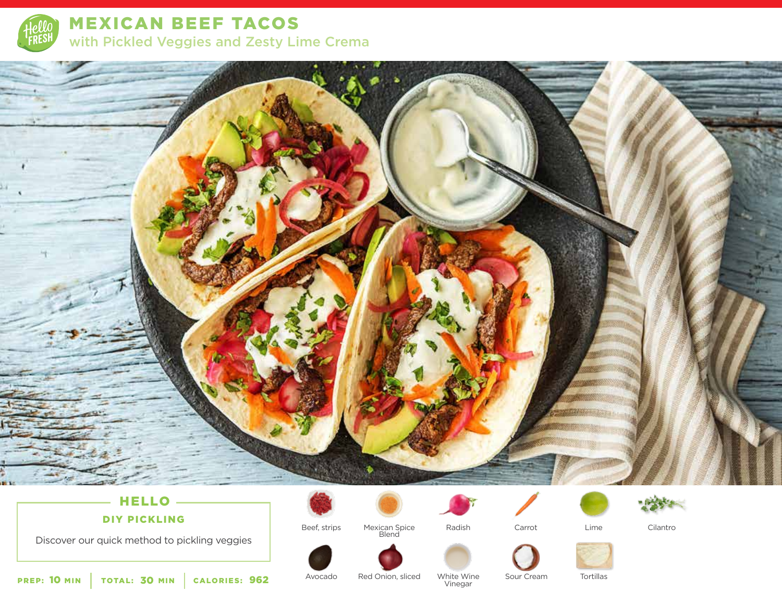

MEXICAN BEEF TACOS with Pickled Veggies and Zesty Lime Crema



# **HELLO-**DIY PICKLING

Discover our quick method to pickling veggies

Beef, strips







Cilantro

Avocado

Red Onion, sliced Sour Cream White Wine <sup>962</sup> Vinegar

Tortillas

PREP: 10 MIN | TOTAL: 30 MIN | CALORIES: